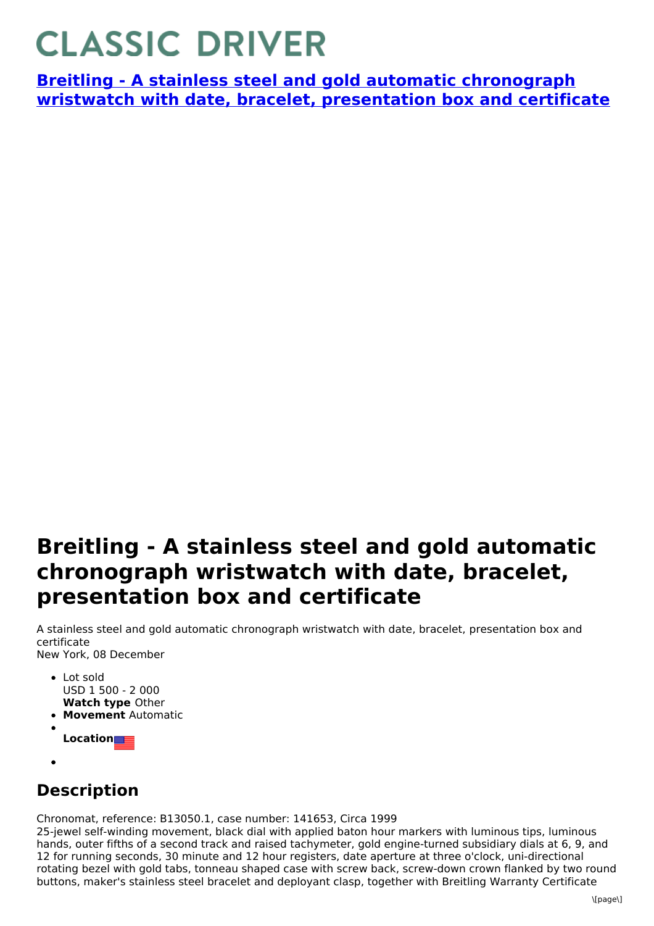## **CLASSIC DRIVER**

**Breitling - A stainless steel and gold automatic chronograph wristwatch with date, bracelet, [presentation](https://www.classicdriver.com/en/watch/breitling/273600) box and certificate**

## **Breitling - A stainless steel and gold automatic chronograph wristwatch with date, bracelet, presentation box and certificate**

A stainless steel and gold automatic chronograph wristwatch with date, bracelet, presentation box and certificate New York, 08 December

- **Watch type** Other • Lot sold USD 1 500 - 2 000
- **Movement** Automatic
- **Location**
- 

## **Description**

Chronomat, reference: B13050.1, case number: 141653, Circa 1999

25-jewel self-winding movement, black dial with applied baton hour markers with luminous tips, luminous hands, outer fifths of a second track and raised tachymeter, gold engine-turned subsidiary dials at 6, 9, and 12 for running seconds, 30 minute and 12 hour registers, date aperture at three o'clock, uni-directional rotating bezel with gold tabs, tonneau shaped case with screw back, screw-down crown flanked by two round buttons, maker's stainless steel bracelet and deployant clasp, together with Breitling Warranty Certificate